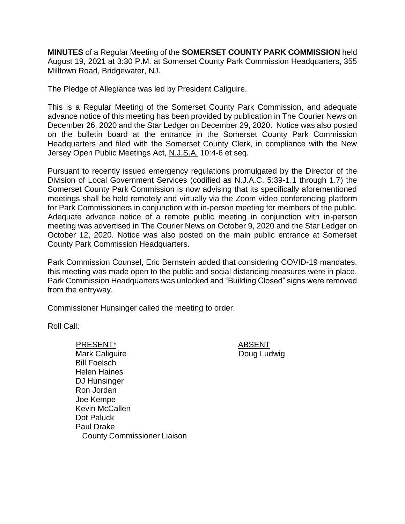**MINUTES** of a Regular Meeting of the **SOMERSET COUNTY PARK COMMISSION** held August 19, 2021 at 3:30 P.M. at Somerset County Park Commission Headquarters, 355 Milltown Road, Bridgewater, NJ.

The Pledge of Allegiance was led by President Caliguire.

This is a Regular Meeting of the Somerset County Park Commission, and adequate advance notice of this meeting has been provided by publication in The Courier News on December 26, 2020 and the Star Ledger on December 29, 2020. Notice was also posted on the bulletin board at the entrance in the Somerset County Park Commission Headquarters and filed with the Somerset County Clerk, in compliance with the New Jersey Open Public Meetings Act, N.J.S.A. 10:4-6 et seq.

Pursuant to recently issued emergency regulations promulgated by the Director of the Division of Local Government Services (codified as N.J.A.C. 5:39-1.1 through 1.7) the Somerset County Park Commission is now advising that its specifically aforementioned meetings shall be held remotely and virtually via the Zoom video conferencing platform for Park Commissioners in conjunction with in-person meeting for members of the public. Adequate advance notice of a remote public meeting in conjunction with in-person meeting was advertised in The Courier News on October 9, 2020 and the Star Ledger on October 12, 2020. Notice was also posted on the main public entrance at Somerset County Park Commission Headquarters.

Park Commission Counsel, Eric Bernstein added that considering COVID-19 mandates, this meeting was made open to the public and social distancing measures were in place. Park Commission Headquarters was unlocked and "Building Closed" signs were removed from the entryway.

Commissioner Hunsinger called the meeting to order.

Roll Call:

PRESENT\* ABSENT

Doug Ludwig

Mark Caliguire Bill Foelsch Helen Haines DJ Hunsinger Ron Jordan Joe Kempe Kevin McCallen Dot Paluck Paul Drake County Commissioner Liaison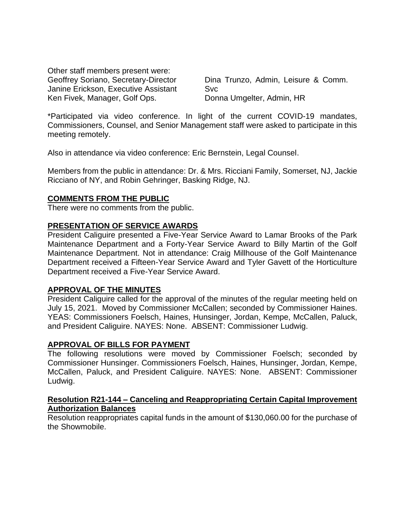Other staff members present were: Geoffrey Soriano, Secretary-Director Janine Erickson, Executive Assistant Ken Fivek, Manager, Golf Ops.

Dina Trunzo, Admin, Leisure & Comm. Svc Donna Umgelter, Admin, HR

\*Participated via video conference. In light of the current COVID-19 mandates, Commissioners, Counsel, and Senior Management staff were asked to participate in this meeting remotely.

Also in attendance via video conference: Eric Bernstein, Legal Counsel.

Members from the public in attendance: Dr. & Mrs. Ricciani Family, Somerset, NJ, Jackie Ricciano of NY, and Robin Gehringer, Basking Ridge, NJ.

### **COMMENTS FROM THE PUBLIC**

There were no comments from the public.

### **PRESENTATION OF SERVICE AWARDS**

President Caliguire presented a Five-Year Service Award to Lamar Brooks of the Park Maintenance Department and a Forty-Year Service Award to Billy Martin of the Golf Maintenance Department. Not in attendance: Craig Millhouse of the Golf Maintenance Department received a Fifteen-Year Service Award and Tyler Gavett of the Horticulture Department received a Five-Year Service Award.

### **APPROVAL OF THE MINUTES**

President Caliguire called for the approval of the minutes of the regular meeting held on July 15, 2021. Moved by Commissioner McCallen; seconded by Commissioner Haines. YEAS: Commissioners Foelsch, Haines, Hunsinger, Jordan, Kempe, McCallen, Paluck, and President Caliguire. NAYES: None. ABSENT: Commissioner Ludwig.

### **APPROVAL OF BILLS FOR PAYMENT**

The following resolutions were moved by Commissioner Foelsch; seconded by Commissioner Hunsinger. Commissioners Foelsch, Haines, Hunsinger, Jordan, Kempe, McCallen, Paluck, and President Caliguire. NAYES: None. ABSENT: Commissioner Ludwig.

#### **Resolution R21-144 – Canceling and Reappropriating Certain Capital Improvement Authorization Balances**

Resolution reappropriates capital funds in the amount of \$130,060.00 for the purchase of the Showmobile.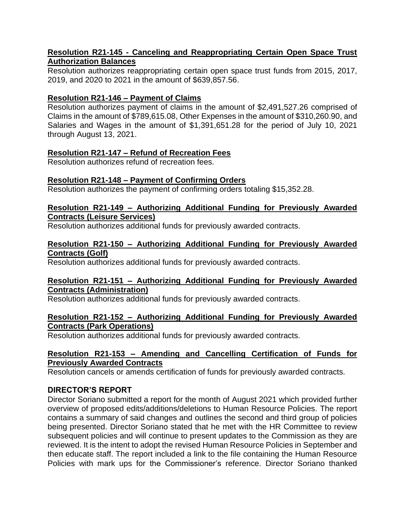### **Resolution R21-145 - Canceling and Reappropriating Certain Open Space Trust Authorization Balances**

Resolution authorizes reappropriating certain open space trust funds from 2015, 2017, 2019, and 2020 to 2021 in the amount of \$639,857.56.

## **Resolution R21-146 – Payment of Claims**

Resolution authorizes payment of claims in the amount of \$2,491,527.26 comprised of Claims in the amount of \$789,615.08, Other Expenses in the amount of \$310,260.90, and Salaries and Wages in the amount of \$1,391,651.28 for the period of July 10, 2021 through August 13, 2021.

### **Resolution R21-147 – Refund of Recreation Fees**

Resolution authorizes refund of recreation fees.

### **Resolution R21-148 – Payment of Confirming Orders**

Resolution authorizes the payment of confirming orders totaling \$15,352.28.

### **Resolution R21-149 – Authorizing Additional Funding for Previously Awarded Contracts (Leisure Services)**

Resolution authorizes additional funds for previously awarded contracts.

### **Resolution R21-150 – Authorizing Additional Funding for Previously Awarded Contracts (Golf)**

Resolution authorizes additional funds for previously awarded contracts.

### **Resolution R21-151 – Authorizing Additional Funding for Previously Awarded Contracts (Administration)**

Resolution authorizes additional funds for previously awarded contracts.

### **Resolution R21-152 – Authorizing Additional Funding for Previously Awarded Contracts (Park Operations)**

Resolution authorizes additional funds for previously awarded contracts.

## **Resolution R21-153 – Amending and Cancelling Certification of Funds for Previously Awarded Contracts**

Resolution cancels or amends certification of funds for previously awarded contracts.

# **DIRECTOR'S REPORT**

Director Soriano submitted a report for the month of August 2021 which provided further overview of proposed edits/additions/deletions to Human Resource Policies. The report contains a summary of said changes and outlines the second and third group of policies being presented. Director Soriano stated that he met with the HR Committee to review subsequent policies and will continue to present updates to the Commission as they are reviewed. It is the intent to adopt the revised Human Resource Policies in September and then educate staff. The report included a link to the file containing the Human Resource Policies with mark ups for the Commissioner's reference. Director Soriano thanked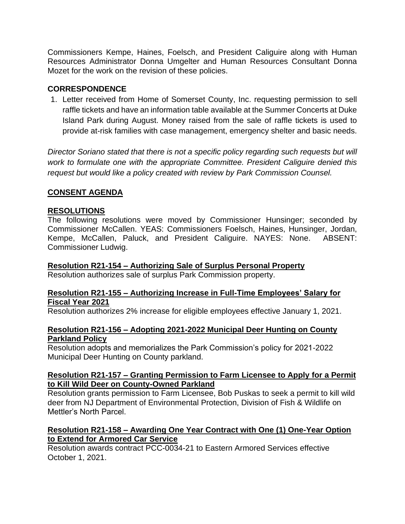Commissioners Kempe, Haines, Foelsch, and President Caliguire along with Human Resources Administrator Donna Umgelter and Human Resources Consultant Donna Mozet for the work on the revision of these policies.

## **CORRESPONDENCE**

1. Letter received from Home of Somerset County, Inc. requesting permission to sell raffle tickets and have an information table available at the Summer Concerts at Duke Island Park during August. Money raised from the sale of raffle tickets is used to provide at-risk families with case management, emergency shelter and basic needs.

*Director Soriano stated that there is not a specific policy regarding such requests but will work to formulate one with the appropriate Committee. President Caliguire denied this request but would like a policy created with review by Park Commission Counsel.* 

# **CONSENT AGENDA**

### **RESOLUTIONS**

The following resolutions were moved by Commissioner Hunsinger; seconded by Commissioner McCallen. YEAS: Commissioners Foelsch, Haines, Hunsinger, Jordan, Kempe, McCallen, Paluck, and President Caliguire. NAYES: None. ABSENT: Commissioner Ludwig.

### **Resolution R21-154 – Authorizing Sale of Surplus Personal Property**

Resolution authorizes sale of surplus Park Commission property.

#### **Resolution R21-155 – Authorizing Increase in Full-Time Employees' Salary for Fiscal Year 2021**

Resolution authorizes 2% increase for eligible employees effective January 1, 2021.

#### **Resolution R21-156 – Adopting 2021-2022 Municipal Deer Hunting on County Parkland Policy**

Resolution adopts and memorializes the Park Commission's policy for 2021-2022 Municipal Deer Hunting on County parkland.

#### **Resolution R21-157 – Granting Permission to Farm Licensee to Apply for a Permit to Kill Wild Deer on County-Owned Parkland**

Resolution grants permission to Farm Licensee, Bob Puskas to seek a permit to kill wild deer from NJ Department of Environmental Protection, Division of Fish & Wildlife on Mettler's North Parcel.

### **Resolution R21-158 – Awarding One Year Contract with One (1) One-Year Option to Extend for Armored Car Service**

Resolution awards contract PCC-0034-21 to Eastern Armored Services effective October 1, 2021.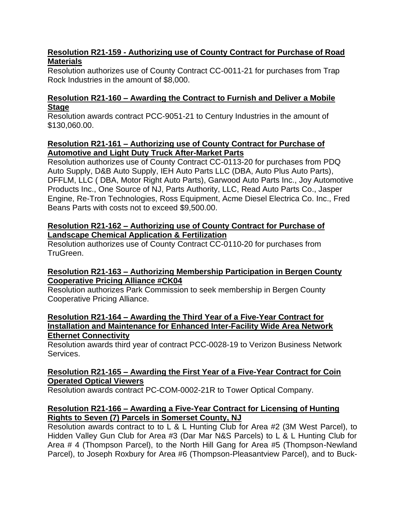## **Resolution R21-159 - Authorizing use of County Contract for Purchase of Road Materials**

Resolution authorizes use of County Contract CC-0011-21 for purchases from Trap Rock Industries in the amount of \$8,000.

# **Resolution R21-160 – Awarding the Contract to Furnish and Deliver a Mobile Stage**

Resolution awards contract PCC-9051-21 to Century Industries in the amount of \$130,060.00.

## **Resolution R21-161 – Authorizing use of County Contract for Purchase of Automotive and Light Duty Truck After-Market Parts**

Resolution authorizes use of County Contract CC-0113-20 for purchases from PDQ Auto Supply, D&B Auto Supply, IEH Auto Parts LLC (DBA, Auto Plus Auto Parts), DFFLM, LLC ( DBA, Motor Right Auto Parts), Garwood Auto Parts Inc., Joy Automotive Products Inc., One Source of NJ, Parts Authority, LLC, Read Auto Parts Co., Jasper Engine, Re-Tron Technologies, Ross Equipment, Acme Diesel Electrica Co. Inc., Fred Beans Parts with costs not to exceed \$9,500.00.

## **Resolution R21-162 – Authorizing use of County Contract for Purchase of Landscape Chemical Application & Fertilization**

Resolution authorizes use of County Contract CC-0110-20 for purchases from TruGreen.

# **Resolution R21-163 – Authorizing Membership Participation in Bergen County Cooperative Pricing Alliance #CK04**

Resolution authorizes Park Commission to seek membership in Bergen County Cooperative Pricing Alliance.

### **Resolution R21-164 – Awarding the Third Year of a Five-Year Contract for Installation and Maintenance for Enhanced Inter-Facility Wide Area Network Ethernet Connectivity**

Resolution awards third year of contract PCC-0028-19 to Verizon Business Network Services.

# **Resolution R21-165 – Awarding the First Year of a Five-Year Contract for Coin Operated Optical Viewers**

Resolution awards contract PC-COM-0002-21R to Tower Optical Company.

# **Resolution R21-166 – Awarding a Five-Year Contract for Licensing of Hunting Rights to Seven (7) Parcels in Somerset County, NJ**

Resolution awards contract to to L & L Hunting Club for Area #2 (3M West Parcel), to Hidden Valley Gun Club for Area #3 (Dar Mar N&S Parcels) to L & L Hunting Club for Area # 4 (Thompson Parcel), to the North Hill Gang for Area #5 (Thompson-Newland Parcel), to Joseph Roxbury for Area #6 (Thompson-Pleasantview Parcel), and to Buck-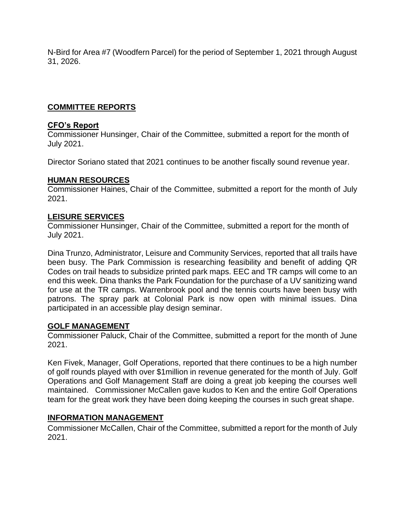N-Bird for Area #7 (Woodfern Parcel) for the period of September 1, 2021 through August 31, 2026.

# **COMMITTEE REPORTS**

### **CFO's Report**

Commissioner Hunsinger, Chair of the Committee, submitted a report for the month of July 2021.

Director Soriano stated that 2021 continues to be another fiscally sound revenue year.

### **HUMAN RESOURCES**

Commissioner Haines, Chair of the Committee, submitted a report for the month of July 2021.

### **LEISURE SERVICES**

Commissioner Hunsinger, Chair of the Committee, submitted a report for the month of July 2021.

Dina Trunzo, Administrator, Leisure and Community Services, reported that all trails have been busy. The Park Commission is researching feasibility and benefit of adding QR Codes on trail heads to subsidize printed park maps. EEC and TR camps will come to an end this week. Dina thanks the Park Foundation for the purchase of a UV sanitizing wand for use at the TR camps. Warrenbrook pool and the tennis courts have been busy with patrons. The spray park at Colonial Park is now open with minimal issues. Dina participated in an accessible play design seminar.

### **GOLF MANAGEMENT**

Commissioner Paluck, Chair of the Committee, submitted a report for the month of June 2021.

Ken Fivek, Manager, Golf Operations, reported that there continues to be a high number of golf rounds played with over \$1million in revenue generated for the month of July. Golf Operations and Golf Management Staff are doing a great job keeping the courses well maintained. Commissioner McCallen gave kudos to Ken and the entire Golf Operations team for the great work they have been doing keeping the courses in such great shape.

### **INFORMATION MANAGEMENT**

Commissioner McCallen, Chair of the Committee, submitted a report for the month of July 2021.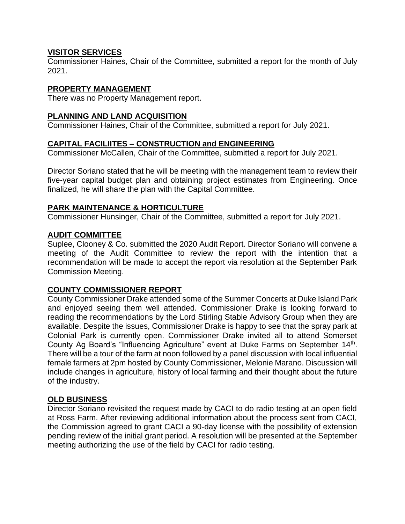## **VISITOR SERVICES**

Commissioner Haines, Chair of the Committee, submitted a report for the month of July 2021.

### **PROPERTY MANAGEMENT**

There was no Property Management report.

### **PLANNING AND LAND ACQUISITION**

Commissioner Haines, Chair of the Committee, submitted a report for July 2021.

## **CAPITAL FACILIITES – CONSTRUCTION and ENGINEERING**

Commissioner McCallen, Chair of the Committee, submitted a report for July 2021.

Director Soriano stated that he will be meeting with the management team to review their five-year capital budget plan and obtaining project estimates from Engineering. Once finalized, he will share the plan with the Capital Committee.

### **PARK MAINTENANCE & HORTICULTURE**

Commissioner Hunsinger, Chair of the Committee, submitted a report for July 2021.

### **AUDIT COMMITTEE**

Suplee, Clooney & Co. submitted the 2020 Audit Report. Director Soriano will convene a meeting of the Audit Committee to review the report with the intention that a recommendation will be made to accept the report via resolution at the September Park Commission Meeting.

### **COUNTY COMMISSIONER REPORT**

County Commissioner Drake attended some of the Summer Concerts at Duke Island Park and enjoyed seeing them well attended. Commissioner Drake is looking forward to reading the recommendations by the Lord Stirling Stable Advisory Group when they are available. Despite the issues, Commissioner Drake is happy to see that the spray park at Colonial Park is currently open. Commissioner Drake invited all to attend Somerset County Ag Board's "Influencing Agriculture" event at Duke Farms on September 14<sup>th</sup>. There will be a tour of the farm at noon followed by a panel discussion with local influential female farmers at 2pm hosted by County Commissioner, Melonie Marano. Discussion will include changes in agriculture, history of local farming and their thought about the future of the industry.

### **OLD BUSINESS**

Director Soriano revisited the request made by CACI to do radio testing at an open field at Ross Farm. After reviewing additional information about the process sent from CACI, the Commission agreed to grant CACI a 90-day license with the possibility of extension pending review of the initial grant period. A resolution will be presented at the September meeting authorizing the use of the field by CACI for radio testing.